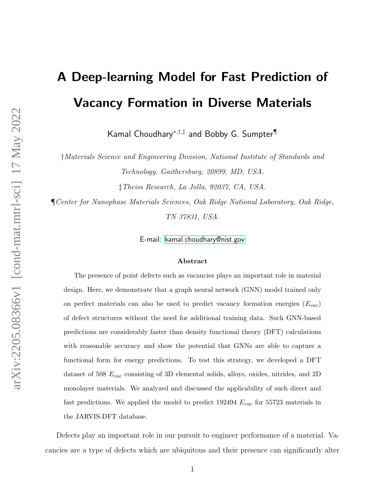# A Deep-learning Model for Fast Prediction of Vacancy Formation in Diverse Materials

Kamal Choudhary<sup>∗</sup>,†,‡ and Bobby G. Sumpter¶

†Materials Science and Engineering Division, National Institute of Standards and Technology, Gaithersburg, 20899, MD, USA.

‡Theiss Research, La Jolla, 92037, CA, USA.

¶Center for Nanophase Materials Sciences, Oak Ridge National Laboratory, Oak Ridge, TN 37831, USA.

E-mail:<kamal.choudhary@nist.gov>

#### Abstract

The presence of point defects such as vacancies plays an important role in material design. Here, we demonstrate that a graph neural network (GNN) model trained only on perfect materials can also be used to predict vacancy formation energies  $(E_{vac})$ of defect structures without the need for additional training data. Such GNN-based predictions are considerably faster than density functional theory (DFT) calculations with reasonable accuracy and show the potential that GNNs are able to capture a functional form for energy predictions. To test this strategy, we developed a DFT dataset of 508  $E_{vac}$  consisting of 3D elemental solids, alloys, oxides, nitrides, and 2D monolayer materials. We analyzed and discussed the applicability of such direct and fast predictions. We applied the model to predict 192494  $E_{vac}$  for 55723 materials in the JARVIS-DFT database.

Defects play an important role in our pursuit to engineer performance of a material. Vacancies are a type of defects which are ubiquitous and their presence can significantly alter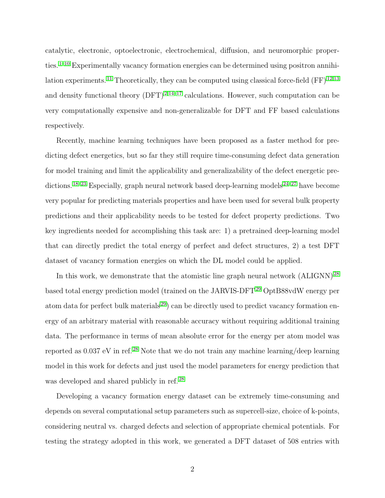catalytic, electronic, optoelectronic, electrochemical, diffusion, and neuromorphic proper-ties.<sup>[1](#page-10-0)[–10](#page-11-0)</sup> Experimentally vacancy formation energies can be determined using positron annihi-lation experiments.<sup>[11](#page-11-1)</sup> Theoretically, they can be computed using classical force-field  $(FF)^{12,13}$  $(FF)^{12,13}$  $(FF)^{12,13}$  $(FF)^{12,13}$ and density functional theory  $(DFT)^{2,14-17}$  $(DFT)^{2,14-17}$  $(DFT)^{2,14-17}$  $(DFT)^{2,14-17}$  $(DFT)^{2,14-17}$  calculations. However, such computation can be very computationally expensive and non-generalizable for DFT and FF based calculations respectively.

Recently, machine learning techniques have been proposed as a faster method for predicting defect energetics, but so far they still require time-consuming defect data generation for model training and limit the applicability and generalizability of the defect energetic pre-dictions.<sup>[18](#page-12-3)[–23](#page-13-0)</sup> Especially, graph neural network based deep-learning models  $24-27$  $24-27$  have become very popular for predicting materials properties and have been used for several bulk property predictions and their applicability needs to be tested for defect property predictions. Two key ingredients needed for accomplishing this task are: 1) a pretrained deep-learning model that can directly predict the total energy of perfect and defect structures, 2) a test DFT dataset of vacancy formation energies on which the DL model could be applied.

In this work, we demonstrate that the atomistic line graph neural network  $(ALIGNN)^{28}$  $(ALIGNN)^{28}$  $(ALIGNN)^{28}$ based total energy prediction model (trained on the JARVIS-DFT<sup>[29](#page-13-4)</sup> OptB88vdW energy per atom data for perfect bulk materials [29](#page-13-4)) can be directly used to predict vacancy formation energy of an arbitrary material with reasonable accuracy without requiring additional training data. The performance in terms of mean absolute error for the energy per atom model was reported as  $0.037$  eV in ref.<sup>[28](#page-13-3)</sup> Note that we do not train any machine learning/deep learning model in this work for defects and just used the model parameters for energy prediction that was developed and shared publicly in ref.<sup>[28](#page-13-3)</sup>

Developing a vacancy formation energy dataset can be extremely time-consuming and depends on several computational setup parameters such as supercell-size, choice of k-points, considering neutral vs. charged defects and selection of appropriate chemical potentials. For testing the strategy adopted in this work, we generated a DFT dataset of 508 entries with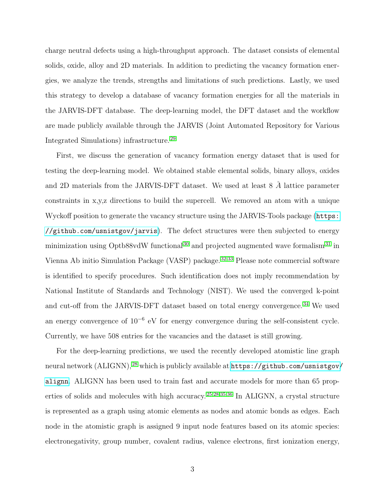charge neutral defects using a high-throughput approach. The dataset consists of elemental solids, oxide, alloy and 2D materials. In addition to predicting the vacancy formation energies, we analyze the trends, strengths and limitations of such predictions. Lastly, we used this strategy to develop a database of vacancy formation energies for all the materials in the JARVIS-DFT database. The deep-learning model, the DFT dataset and the workflow are made publicly available through the JARVIS (Joint Automated Repository for Various Integrated Simulations) infrastructure. [29](#page-13-4)

First, we discuss the generation of vacancy formation energy dataset that is used for testing the deep-learning model. We obtained stable elemental solids, binary alloys, oxides and 2D materials from the JARVIS-DFT dataset. We used at least  $8\;\AA$  lattice parameter constraints in x,y,z directions to build the supercell. We removed an atom with a unique Wyckoff position to generate the vacancy structure using the JARVIS-Tools package ([https:](https://github.com/usnistgov/jarvis) [//github.com/usnistgov/jarvis](https://github.com/usnistgov/jarvis)). The defect structures were then subjected to energy minimization using Optb88vdW functional  $30$  and projected augmented wave formalism  $31$  in Vienna Ab initio Simulation Package (VASP) package. [32](#page-14-2)[,33](#page-14-3) Please note commercial software is identified to specify procedures. Such identification does not imply recommendation by National Institute of Standards and Technology (NIST). We used the converged k-point and cut-off from the JARVIS-DFT dataset based on total energy convergence. [34](#page-14-4) We used an energy convergence of  $10^{-6}$  eV for energy convergence during the self-consistent cycle. Currently, we have 508 entries for the vacancies and the dataset is still growing.

For the deep-learning predictions, we used the recently developed atomistic line graph neural network (ALIGNN), [28](#page-13-3) which is publicly available at [https://github.com/usnistgov/](https://github.com/usnistgov/alignn) [alignn](https://github.com/usnistgov/alignn). ALIGNN has been used to train fast and accurate models for more than 65 properties of solids and molecules with high accuracy. [25,](#page-13-5)[28](#page-13-3)[,35](#page-14-5)[,36](#page-14-6) In ALIGNN, a crystal structure is represented as a graph using atomic elements as nodes and atomic bonds as edges. Each node in the atomistic graph is assigned 9 input node features based on its atomic species: electronegativity, group number, covalent radius, valence electrons, first ionization energy,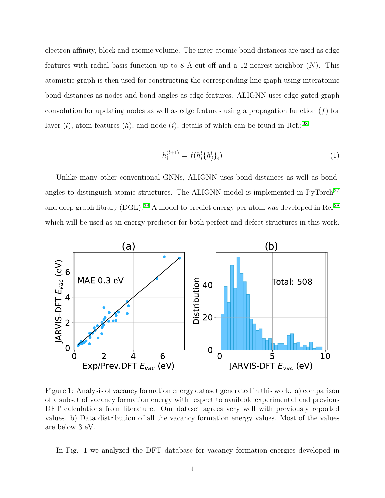electron affinity, block and atomic volume. The inter-atomic bond distances are used as edge features with radial basis function up to 8 Å cut-off and a 12-nearest-neighbor  $(N)$ . This atomistic graph is then used for constructing the corresponding line graph using interatomic bond-distances as nodes and bond-angles as edge features. ALIGNN uses edge-gated graph convolution for updating nodes as well as edge features using a propagation function  $(f)$  for layer (l), atom features (h), and node (i), details of which can be found in Ref.:<sup>[28](#page-13-3)</sup>

$$
h_i^{(l+1)} = f(h_i^l \{h_j^l\}_i)
$$
\n(1)

Unlike many other conventional GNNs, ALIGNN uses bond-distances as well as bondangles to distinguish atomic structures. The ALIGNN model is implemented in  $PvTorch<sup>37</sup>$  $PvTorch<sup>37</sup>$  $PvTorch<sup>37</sup>$ and deep graph library (DGL).  $^{38}$  $^{38}$  $^{38}$  A model to predict energy per atom was developed in Ref<sup>[28](#page-13-3)</sup> which will be used as an energy predictor for both perfect and defect structures in this work.



Figure 1: Analysis of vacancy formation energy dataset generated in this work. a) comparison of a subset of vacancy formation energy with respect to available experimental and previous DFT calculations from literature. Our dataset agrees very well with previously reported values. b) Data distribution of all the vacancy formation energy values. Most of the values are below 3 eV.

In Fig. 1 we analyzed the DFT database for vacancy formation energies developed in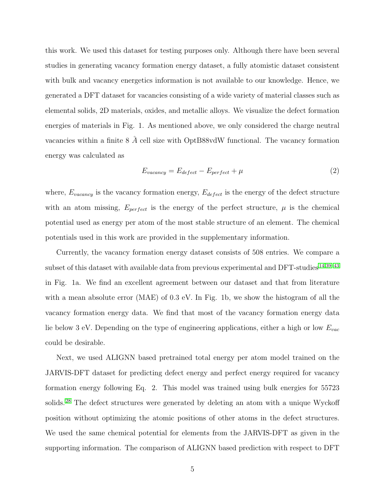this work. We used this dataset for testing purposes only. Although there have been several studies in generating vacancy formation energy dataset, a fully atomistic dataset consistent with bulk and vacancy energetics information is not available to our knowledge. Hence, we generated a DFT dataset for vacancies consisting of a wide variety of material classes such as elemental solids, 2D materials, oxides, and metallic alloys. We visualize the defect formation energies of materials in Fig. 1. As mentioned above, we only considered the charge neutral vacancies within a finite  $8 \text{ Å}$  cell size with OptB88vdW functional. The vacancy formation energy was calculated as

$$
E_{vacancy} = E_{defect} - E_{perfect} + \mu \tag{2}
$$

where,  $E_{vacancy}$  is the vacancy formation energy,  $E_{defect}$  is the energy of the defect structure with an atom missing,  $E_{perfect}$  is the energy of the perfect structure,  $\mu$  is the chemical potential used as energy per atom of the most stable structure of an element. The chemical potentials used in this work are provided in the supplementary information.

Currently, the vacancy formation energy dataset consists of 508 entries. We compare a subset of this dataset with available data from previous experimental and DFT-studies [14](#page-12-1)[,39–](#page-15-1)[43](#page-15-2) in Fig. 1a. We find an excellent agreement between our dataset and that from literature with a mean absolute error (MAE) of 0.3 eV. In Fig. 1b, we show the histogram of all the vacancy formation energy data. We find that most of the vacancy formation energy data lie below 3 eV. Depending on the type of engineering applications, either a high or low  $E_{vac}$ could be desirable.

Next, we used ALIGNN based pretrained total energy per atom model trained on the JARVIS-DFT dataset for predicting defect energy and perfect energy required for vacancy formation energy following Eq. 2. This model was trained using bulk energies for 55723 solids.<sup>[28](#page-13-3)</sup> The defect structures were generated by deleting an atom with a unique Wyckoff position without optimizing the atomic positions of other atoms in the defect structures. We used the same chemical potential for elements from the JARVIS-DFT as given in the supporting information. The comparison of ALIGNN based prediction with respect to DFT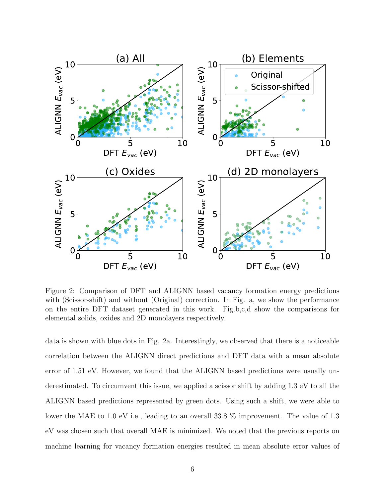

Figure 2: Comparison of DFT and ALIGNN based vacancy formation energy predictions with (Scissor-shift) and without (Original) correction. In Fig. a, we show the performance on the entire DFT dataset generated in this work. Fig.b,c,d show the comparisons for elemental solids, oxides and 2D monolayers respectively.

data is shown with blue dots in Fig. 2a. Interestingly, we observed that there is a noticeable correlation between the ALIGNN direct predictions and DFT data with a mean absolute error of 1.51 eV. However, we found that the ALIGNN based predictions were usually underestimated. To circumvent this issue, we applied a scissor shift by adding 1.3 eV to all the ALIGNN based predictions represented by green dots. Using such a shift, we were able to lower the MAE to 1.0 eV i.e., leading to an overall 33.8 % improvement. The value of 1.3 eV was chosen such that overall MAE is minimized. We noted that the previous reports on machine learning for vacancy formation energies resulted in mean absolute error values of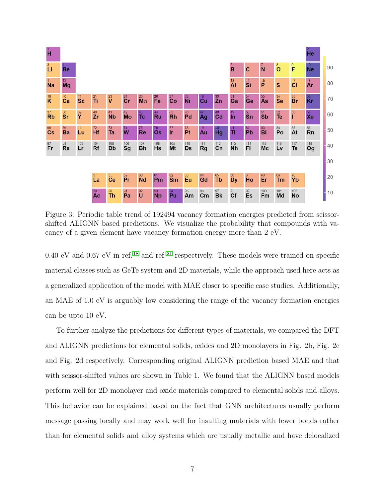

Figure 3: Periodic table trend of 192494 vacancy formation energies predicted from scissorshifted ALIGNN based predictions. We visualize the probability that compounds with vacancy of a given element have vacancy formation energy more than 2 eV.

0.40 eV and 0.67 eV in ref.<sup>[18](#page-12-3)</sup> and ref.<sup>[21](#page-13-6)</sup> respectively. These models were trained on specific material classes such as GeTe system and 2D materials, while the approach used here acts as a generalized application of the model with MAE closer to specific case studies. Additionally, an MAE of 1.0 eV is arguably low considering the range of the vacancy formation energies can be upto 10 eV.

To further analyze the predictions for different types of materials, we compared the DFT and ALIGNN predictions for elemental solids, oxides and 2D monolayers in Fig. 2b, Fig. 2c and Fig. 2d respectively. Corresponding original ALIGNN prediction based MAE and that with scissor-shifted values are shown in Table 1. We found that the ALIGNN based models perform well for 2D monolayer and oxide materials compared to elemental solids and alloys. This behavior can be explained based on the fact that GNN architectures usually perform message passing locally and may work well for insulting materials with fewer bonds rather than for elemental solids and alloy systems which are usually metallic and have delocalized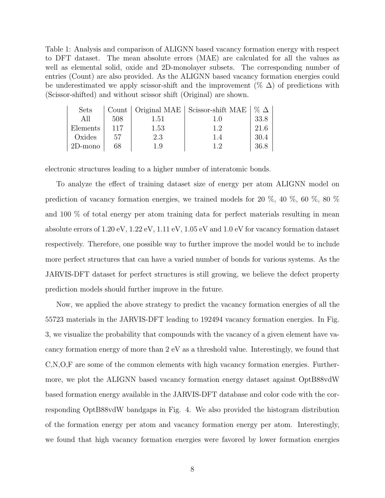Table 1: Analysis and comparison of ALIGNN based vacancy formation energy with respect to DFT dataset. The mean absolute errors (MAE) are calculated for all the values as well as elemental solid, oxide and 2D-monolayer subsets. The corresponding number of entries (Count) are also provided. As the ALIGNN based vacancy formation energies could be underestimated we apply scissor-shift and the improvement ( $\% \Delta$ ) of predictions with (Scissor-shifted) and without scissor shift (Original) are shown.

| Sets       |     |      | Count   Original MAE   Scissor-shift MAE | $\%$ $\Delta$ |
|------------|-----|------|------------------------------------------|---------------|
| All        | 508 | 1.51 | 1.0                                      | 33.8          |
| Elements   | 117 | 1.53 | 1.2                                      | 21.6          |
| Oxides     | 57  | 2.3  | 1.4                                      | 30.4          |
| $2D$ -mono | 68  |      | 1 <sup>0</sup>                           | 36.8          |

electronic structures leading to a higher number of interatomic bonds.

To analyze the effect of training dataset size of energy per atom ALIGNN model on prediction of vacancy formation energies, we trained models for 20 %, 40 %, 60 %, 80 % and 100 % of total energy per atom training data for perfect materials resulting in mean absolute errors of 1.20 eV, 1.22 eV, 1.11 eV, 1.05 eV and 1.0 eV for vacancy formation dataset respectively. Therefore, one possible way to further improve the model would be to include more perfect structures that can have a varied number of bonds for various systems. As the JARVIS-DFT dataset for perfect structures is still growing, we believe the defect property prediction models should further improve in the future.

Now, we applied the above strategy to predict the vacancy formation energies of all the 55723 materials in the JARVIS-DFT leading to 192494 vacancy formation energies. In Fig. 3, we visualize the probability that compounds with the vacancy of a given element have vacancy formation energy of more than 2 eV as a threshold value. Interestingly, we found that C,N,O,F are some of the common elements with high vacancy formation energies. Furthermore, we plot the ALIGNN based vacancy formation energy dataset against OptB88vdW based formation energy available in the JARVIS-DFT database and color code with the corresponding OptB88vdW bandgaps in Fig. 4. We also provided the histogram distribution of the formation energy per atom and vacancy formation energy per atom. Interestingly, we found that high vacancy formation energies were favored by lower formation energies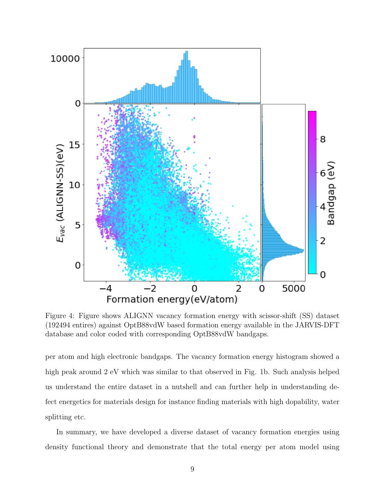

Figure 4: Figure shows ALIGNN vacancy formation energy with scissor-shift (SS) dataset (192494 entires) against OptB88vdW based formation energy available in the JARVIS-DFT database and color coded with corresponding OptB88vdW bandgaps.

per atom and high electronic bandgaps. The vacancy formation energy histogram showed a high peak around 2 eV which was similar to that observed in Fig. 1b. Such analysis helped us understand the entire dataset in a nutshell and can further help in understanding defect energetics for materials design for instance finding materials with high dopability, water splitting etc.

In summary, we have developed a diverse dataset of vacancy formation energies using density functional theory and demonstrate that the total energy per atom model using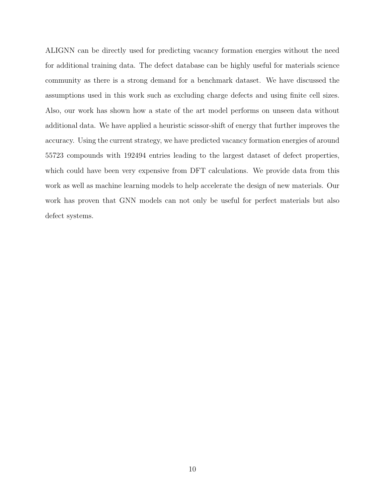ALIGNN can be directly used for predicting vacancy formation energies without the need for additional training data. The defect database can be highly useful for materials science community as there is a strong demand for a benchmark dataset. We have discussed the assumptions used in this work such as excluding charge defects and using finite cell sizes. Also, our work has shown how a state of the art model performs on unseen data without additional data. We have applied a heuristic scissor-shift of energy that further improves the accuracy. Using the current strategy, we have predicted vacancy formation energies of around 55723 compounds with 192494 entries leading to the largest dataset of defect properties, which could have been very expensive from DFT calculations. We provide data from this work as well as machine learning models to help accelerate the design of new materials. Our work has proven that GNN models can not only be useful for perfect materials but also defect systems.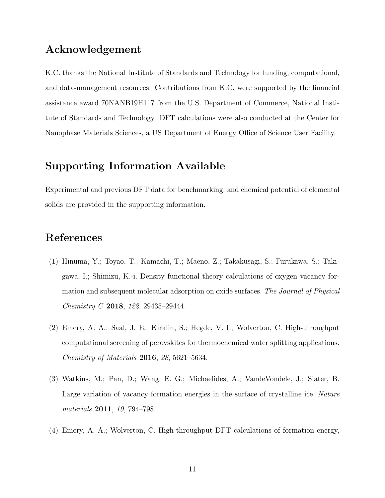### Acknowledgement

K.C. thanks the National Institute of Standards and Technology for funding, computational, and data-management resources. Contributions from K.C. were supported by the financial assistance award 70NANB19H117 from the U.S. Department of Commerce, National Institute of Standards and Technology. DFT calculations were also conducted at the Center for Nanophase Materials Sciences, a US Department of Energy Office of Science User Facility.

## Supporting Information Available

Experimental and previous DFT data for benchmarking, and chemical potential of elemental solids are provided in the supporting information.

# References

- <span id="page-10-0"></span>(1) Hinuma, Y.; Toyao, T.; Kamachi, T.; Maeno, Z.; Takakusagi, S.; Furukawa, S.; Takigawa, I.; Shimizu, K.-i. Density functional theory calculations of oxygen vacancy formation and subsequent molecular adsorption on oxide surfaces. The Journal of Physical Chemistry C 2018, 122, 29435–29444.
- <span id="page-10-1"></span>(2) Emery, A. A.; Saal, J. E.; Kirklin, S.; Hegde, V. I.; Wolverton, C. High-throughput computational screening of perovskites for thermochemical water splitting applications. Chemistry of Materials 2016, 28, 5621–5634.
- (3) Watkins, M.; Pan, D.; Wang, E. G.; Michaelides, A.; VandeVondele, J.; Slater, B. Large variation of vacancy formation energies in the surface of crystalline ice. Nature materials 2011, 10, 794–798.
- (4) Emery, A. A.; Wolverton, C. High-throughput DFT calculations of formation energy,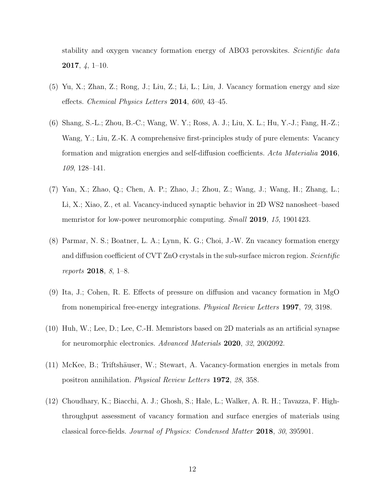stability and oxygen vacancy formation energy of ABO3 perovskites. Scientific data 2017, 4, 1–10.

- (5) Yu, X.; Zhan, Z.; Rong, J.; Liu, Z.; Li, L.; Liu, J. Vacancy formation energy and size effects. Chemical Physics Letters 2014, 600, 43–45.
- (6) Shang, S.-L.; Zhou, B.-C.; Wang, W. Y.; Ross, A. J.; Liu, X. L.; Hu, Y.-J.; Fang, H.-Z.; Wang, Y.; Liu, Z.-K. A comprehensive first-principles study of pure elements: Vacancy formation and migration energies and self-diffusion coefficients. Acta Materialia 2016, 109, 128–141.
- (7) Yan, X.; Zhao, Q.; Chen, A. P.; Zhao, J.; Zhou, Z.; Wang, J.; Wang, H.; Zhang, L.; Li, X.; Xiao, Z., et al. Vacancy-induced synaptic behavior in 2D WS2 nanosheet–based memristor for low-power neuromorphic computing. *Small* **2019**, 15, 1901423.
- (8) Parmar, N. S.; Boatner, L. A.; Lynn, K. G.; Choi, J.-W. Zn vacancy formation energy and diffusion coefficient of CVT ZnO crystals in the sub-surface micron region. Scientific reports 2018, 8, 1–8.
- (9) Ita, J.; Cohen, R. E. Effects of pressure on diffusion and vacancy formation in MgO from nonempirical free-energy integrations. Physical Review Letters 1997, 79, 3198.
- <span id="page-11-0"></span>(10) Huh, W.; Lee, D.; Lee, C.-H. Memristors based on 2D materials as an artificial synapse for neuromorphic electronics. Advanced Materials 2020, 32, 2002092.
- <span id="page-11-1"></span> $(11)$  McKee, B.; Triftshäuser, W.; Stewart, A. Vacancy-formation energies in metals from positron annihilation. Physical Review Letters 1972, 28, 358.
- <span id="page-11-2"></span>(12) Choudhary, K.; Biacchi, A. J.; Ghosh, S.; Hale, L.; Walker, A. R. H.; Tavazza, F. Highthroughput assessment of vacancy formation and surface energies of materials using classical force-fields. Journal of Physics: Condensed Matter 2018, 30, 395901.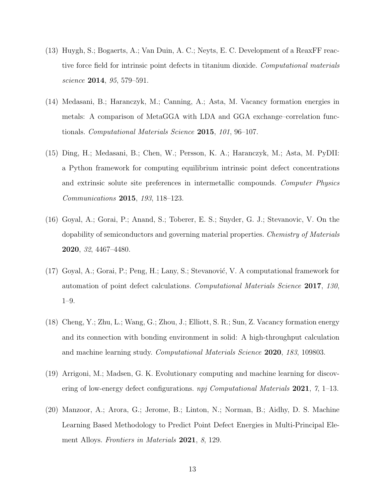- <span id="page-12-0"></span>(13) Huygh, S.; Bogaerts, A.; Van Duin, A. C.; Neyts, E. C. Development of a ReaxFF reactive force field for intrinsic point defects in titanium dioxide. Computational materials science 2014, 95, 579–591.
- <span id="page-12-1"></span>(14) Medasani, B.; Haranczyk, M.; Canning, A.; Asta, M. Vacancy formation energies in metals: A comparison of MetaGGA with LDA and GGA exchange–correlation functionals. Computational Materials Science 2015, 101, 96–107.
- (15) Ding, H.; Medasani, B.; Chen, W.; Persson, K. A.; Haranczyk, M.; Asta, M. PyDII: a Python framework for computing equilibrium intrinsic point defect concentrations and extrinsic solute site preferences in intermetallic compounds. Computer Physics Communications 2015, 193, 118–123.
- (16) Goyal, A.; Gorai, P.; Anand, S.; Toberer, E. S.; Snyder, G. J.; Stevanovic, V. On the dopability of semiconductors and governing material properties. Chemistry of Materials 2020, 32, 4467–4480.
- <span id="page-12-2"></span> $(17)$  Goyal, A.; Gorai, P.; Peng, H.; Lany, S.; Stevanović, V. A computational framework for automation of point defect calculations. Computational Materials Science 2017, 130, 1–9.
- <span id="page-12-3"></span>(18) Cheng, Y.; Zhu, L.; Wang, G.; Zhou, J.; Elliott, S. R.; Sun, Z. Vacancy formation energy and its connection with bonding environment in solid: A high-throughput calculation and machine learning study. Computational Materials Science 2020, 183, 109803.
- (19) Arrigoni, M.; Madsen, G. K. Evolutionary computing and machine learning for discovering of low-energy defect configurations. npj Computational Materials 2021, 7, 1–13.
- (20) Manzoor, A.; Arora, G.; Jerome, B.; Linton, N.; Norman, B.; Aidhy, D. S. Machine Learning Based Methodology to Predict Point Defect Energies in Multi-Principal Element Alloys. Frontiers in Materials 2021, 8, 129.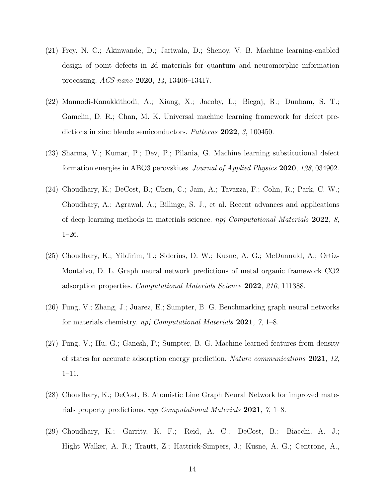- <span id="page-13-6"></span>(21) Frey, N. C.; Akinwande, D.; Jariwala, D.; Shenoy, V. B. Machine learning-enabled design of point defects in 2d materials for quantum and neuromorphic information processing. ACS nano 2020, 14, 13406–13417.
- (22) Mannodi-Kanakkithodi, A.; Xiang, X.; Jacoby, L.; Biegaj, R.; Dunham, S. T.; Gamelin, D. R.; Chan, M. K. Universal machine learning framework for defect predictions in zinc blende semiconductors. Patterns 2022, 3, 100450.
- <span id="page-13-0"></span>(23) Sharma, V.; Kumar, P.; Dev, P.; Pilania, G. Machine learning substitutional defect formation energies in ABO3 perovskites. Journal of Applied Physics 2020, 128, 034902.
- <span id="page-13-1"></span>(24) Choudhary, K.; DeCost, B.; Chen, C.; Jain, A.; Tavazza, F.; Cohn, R.; Park, C. W.; Choudhary, A.; Agrawal, A.; Billinge, S. J., et al. Recent advances and applications of deep learning methods in materials science. npj Computational Materials 2022, 8, 1–26.
- <span id="page-13-5"></span>(25) Choudhary, K.; Yildirim, T.; Siderius, D. W.; Kusne, A. G.; McDannald, A.; Ortiz-Montalvo, D. L. Graph neural network predictions of metal organic framework CO2 adsorption properties. Computational Materials Science 2022, 210, 111388.
- (26) Fung, V.; Zhang, J.; Juarez, E.; Sumpter, B. G. Benchmarking graph neural networks for materials chemistry. npj Computational Materials 2021, 7, 1–8.
- <span id="page-13-2"></span>(27) Fung, V.; Hu, G.; Ganesh, P.; Sumpter, B. G. Machine learned features from density of states for accurate adsorption energy prediction. Nature communications 2021, 12, 1–11.
- <span id="page-13-3"></span>(28) Choudhary, K.; DeCost, B. Atomistic Line Graph Neural Network for improved materials property predictions. npj Computational Materials 2021, 7, 1–8.
- <span id="page-13-4"></span>(29) Choudhary, K.; Garrity, K. F.; Reid, A. C.; DeCost, B.; Biacchi, A. J.; Hight Walker, A. R.; Trautt, Z.; Hattrick-Simpers, J.; Kusne, A. G.; Centrone, A.,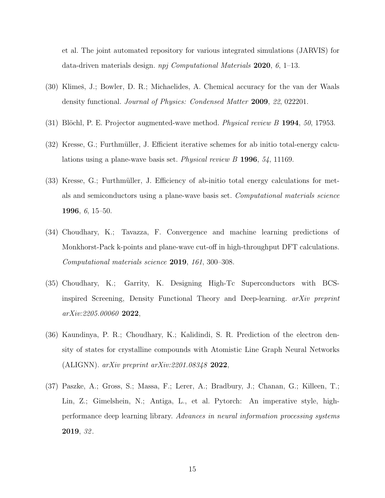et al. The joint automated repository for various integrated simulations (JARVIS) for data-driven materials design. npj Computational Materials 2020, 6, 1–13.

- <span id="page-14-0"></span>(30) Klimeš, J.; Bowler, D. R.; Michaelides, A. Chemical accuracy for the van der Waals density functional. Journal of Physics: Condensed Matter 2009, 22, 022201.
- <span id="page-14-1"></span>(31) Blöchl, P. E. Projector augmented-wave method. *Physical review B* 1994,  $50$ , 17953.
- <span id="page-14-2"></span> $(32)$  Kresse, G.; Furthmüller, J. Efficient iterative schemes for ab initio total-energy calculations using a plane-wave basis set. Physical review B 1996, 54, 11169.
- <span id="page-14-3"></span>(33) Kresse, G.; Furthmüller, J. Efficiency of ab-initio total energy calculations for metals and semiconductors using a plane-wave basis set. Computational materials science 1996, 6, 15–50.
- <span id="page-14-4"></span>(34) Choudhary, K.; Tavazza, F. Convergence and machine learning predictions of Monkhorst-Pack k-points and plane-wave cut-off in high-throughput DFT calculations. Computational materials science 2019, 161, 300–308.
- <span id="page-14-5"></span>(35) Choudhary, K.; Garrity, K. Designing High-Tc Superconductors with BCSinspired Screening, Density Functional Theory and Deep-learning. arXiv preprint arXiv:2205.00060 2022,
- <span id="page-14-6"></span>(36) Kaundinya, P. R.; Choudhary, K.; Kalidindi, S. R. Prediction of the electron density of states for crystalline compounds with Atomistic Line Graph Neural Networks (ALIGNN).  $arXiv$  preprint  $arXiv:2201.08348$  2022,
- <span id="page-14-7"></span>(37) Paszke, A.; Gross, S.; Massa, F.; Lerer, A.; Bradbury, J.; Chanan, G.; Killeen, T.; Lin, Z.; Gimelshein, N.; Antiga, L., et al. Pytorch: An imperative style, highperformance deep learning library. Advances in neural information processing systems 2019, 32 .